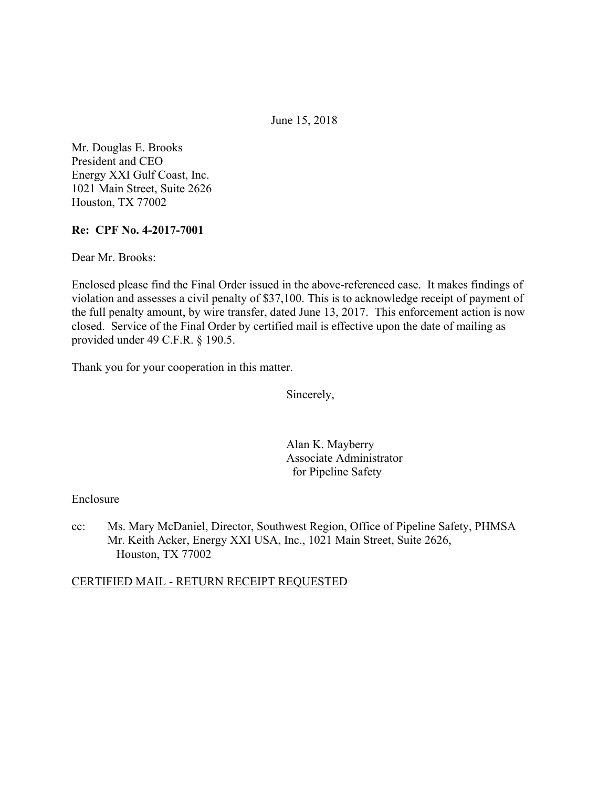June 15, 2018

Mr. Douglas E. Brooks President and CEO Energy XXI Gulf Coast, Inc. 1021 Main Street, Suite 2626 Houston, TX 77002

### **Re: CPF No. 4-2017-7001**

Dear Mr. Brooks:

Enclosed please find the Final Order issued in the above-referenced case. It makes findings of violation and assesses a civil penalty of \$37,100. This is to acknowledge receipt of payment of the full penalty amount, by wire transfer, dated June 13, 2017. This enforcement action is now closed. Service of the Final Order by certified mail is effective upon the date of mailing as provided under 49 C.F.R. § 190.5.

Thank you for your cooperation in this matter.

Sincerely,

Alan K. Mayberry Associate Administrator for Pipeline Safety

### Enclosure

cc: Ms. Mary McDaniel, Director, Southwest Region, Office of Pipeline Safety, PHMSA Mr. Keith Acker, Energy XXI USA, Inc., 1021 Main Street, Suite 2626, Houston, TX 77002

# CERTIFIED MAIL - RETURN RECEIPT REQUESTED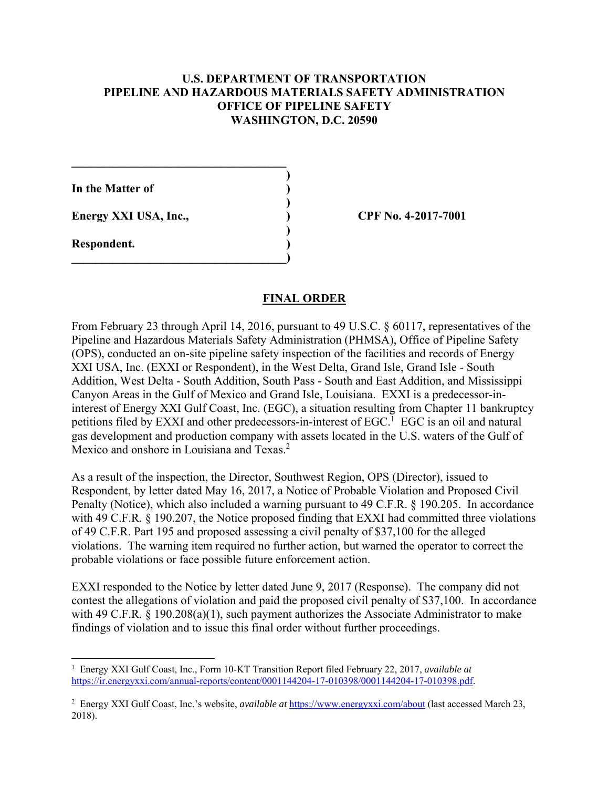# **U.S. DEPARTMENT OF TRANSPORTATION PIPELINE AND HAZARDOUS MATERIALS SAFETY ADMINISTRATION OFFICE OF PIPELINE SAFETY WASHINGTON, D.C. 20590**

**)**

 **)**

 **)**

**In the Matter of )**

**Energy XXI USA, Inc., ) CPF No. 4-2017-7001**

 $\mathcal{L}=\{1,2,3,4,5\}$ 

**\_\_\_\_\_\_\_\_\_\_\_\_\_\_\_\_\_\_\_\_\_\_\_\_\_\_\_\_\_\_\_\_\_\_\_\_)** 

**Respondent. )** 

 $\overline{a}$ 

### **FINAL ORDER**

Mexico and onshore in Louisiana and Texas.<sup>2</sup> From February 23 through April 14, 2016, pursuant to 49 U.S.C. § 60117, representatives of the Pipeline and Hazardous Materials Safety Administration (PHMSA), Office of Pipeline Safety (OPS), conducted an on-site pipeline safety inspection of the facilities and records of Energy XXI USA, Inc. (EXXI or Respondent), in the West Delta, Grand Isle, Grand Isle - South Addition, West Delta - South Addition, South Pass - South and East Addition, and Mississippi Canyon Areas in the Gulf of Mexico and Grand Isle, Louisiana. EXXI is a predecessor-ininterest of Energy XXI Gulf Coast, Inc. (EGC), a situation resulting from Chapter 11 bankruptcy petitions filed by EXXI and other predecessors-in-interest of EGC.<sup>1</sup> EGC is an oil and natural gas development and production company with assets located in the U.S. waters of the Gulf of

 probable violations or face possible future enforcement action. As a result of the inspection, the Director, Southwest Region, OPS (Director), issued to Respondent, by letter dated May 16, 2017, a Notice of Probable Violation and Proposed Civil Penalty (Notice), which also included a warning pursuant to 49 C.F.R. § 190.205. In accordance with 49 C.F.R. § 190.207, the Notice proposed finding that EXXI had committed three violations of 49 C.F.R. Part 195 and proposed assessing a civil penalty of \$37,100 for the alleged violations. The warning item required no further action, but warned the operator to correct the

EXXI responded to the Notice by letter dated June 9, 2017 (Response). The company did not contest the allegations of violation and paid the proposed civil penalty of \$37,100. In accordance with 49 C.F.R. § 190.208(a)(1), such payment authorizes the Associate Administrator to make findings of violation and to issue this final order without further proceedings.

<sup>&</sup>lt;sup>1</sup> Energy XXI Gulf Coast, Inc., Form 10-KT Transition Report filed February 22, 2017, *available at* https://ir.energyxxi.com/annual-reports/content/0001144204-17-010398/0001144204-17-010398.pdf.

<sup>&</sup>lt;sup>2</sup> Energy XXI Gulf Coast, Inc.'s website, *available at* https://www.energyxxi.com/about (last accessed March 23, 2018).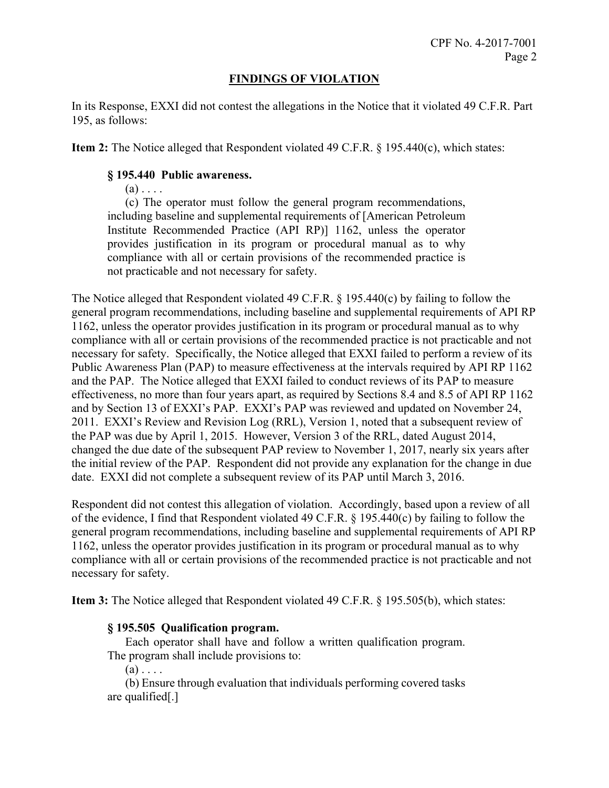# **FINDINGS OF VIOLATION**

In its Response, EXXI did not contest the allegations in the Notice that it violated 49 C.F.R. Part 195, as follows:

**Item 2:** The Notice alleged that Respondent violated 49 C.F.R. § 195.440(c), which states:

# **§ 195.440 Public awareness.**

 $(a)$ ...

 provides justification in its program or procedural manual as to why (c) The operator must follow the general program recommendations, including baseline and supplemental requirements of [American Petroleum Institute Recommended Practice (API RP)] 1162, unless the operator compliance with all or certain provisions of the recommended practice is not practicable and not necessary for safety.

The Notice alleged that Respondent violated 49 C.F.R. § 195.440(c) by failing to follow the general program recommendations, including baseline and supplemental requirements of API RP 1162, unless the operator provides justification in its program or procedural manual as to why compliance with all or certain provisions of the recommended practice is not practicable and not necessary for safety. Specifically, the Notice alleged that EXXI failed to perform a review of its Public Awareness Plan (PAP) to measure effectiveness at the intervals required by API RP 1162 and the PAP. The Notice alleged that EXXI failed to conduct reviews of its PAP to measure effectiveness, no more than four years apart, as required by Sections 8.4 and 8.5 of API RP 1162 and by Section 13 of EXXI's PAP. EXXI's PAP was reviewed and updated on November 24, 2011. EXXI's Review and Revision Log (RRL), Version 1, noted that a subsequent review of the PAP was due by April 1, 2015. However, Version 3 of the RRL, dated August 2014, changed the due date of the subsequent PAP review to November 1, 2017, nearly six years after the initial review of the PAP. Respondent did not provide any explanation for the change in due date. EXXI did not complete a subsequent review of its PAP until March 3, 2016.

Respondent did not contest this allegation of violation. Accordingly, based upon a review of all of the evidence, I find that Respondent violated 49 C.F.R. § 195.440(c) by failing to follow the general program recommendations, including baseline and supplemental requirements of API RP 1162, unless the operator provides justification in its program or procedural manual as to why compliance with all or certain provisions of the recommended practice is not practicable and not necessary for safety.

**Item 3:** The Notice alleged that Respondent violated 49 C.F.R. § 195.505(b), which states:

### **§ 195.505 Qualification program.**

Each operator shall have and follow a written qualification program. The program shall include provisions to:

 $(a)$ ...

(b) Ensure through evaluation that individuals performing covered tasks are qualified[.]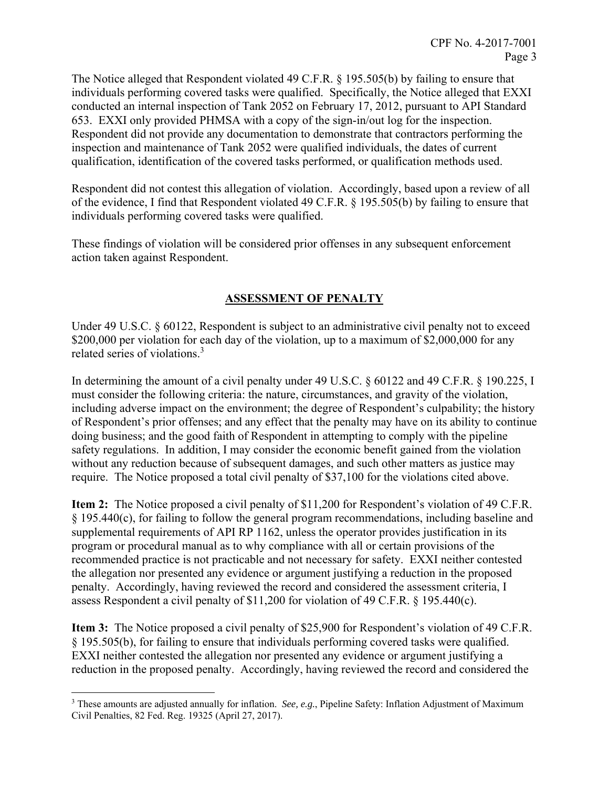The Notice alleged that Respondent violated 49 C.F.R. § 195.505(b) by failing to ensure that individuals performing covered tasks were qualified. Specifically, the Notice alleged that EXXI conducted an internal inspection of Tank 2052 on February 17, 2012, pursuant to API Standard 653. EXXI only provided PHMSA with a copy of the sign-in/out log for the inspection. Respondent did not provide any documentation to demonstrate that contractors performing the inspection and maintenance of Tank 2052 were qualified individuals, the dates of current qualification, identification of the covered tasks performed, or qualification methods used.

Respondent did not contest this allegation of violation. Accordingly, based upon a review of all of the evidence, I find that Respondent violated 49 C.F.R. § 195.505(b) by failing to ensure that individuals performing covered tasks were qualified.

These findings of violation will be considered prior offenses in any subsequent enforcement action taken against Respondent.

# **ASSESSMENT OF PENALTY**

related series of violations.<sup>3</sup> Under 49 U.S.C. § 60122, Respondent is subject to an administrative civil penalty not to exceed \$200,000 per violation for each day of the violation, up to a maximum of \$2,000,000 for any

In determining the amount of a civil penalty under 49 U.S.C. § 60122 and 49 C.F.R. § 190.225, I must consider the following criteria: the nature, circumstances, and gravity of the violation, including adverse impact on the environment; the degree of Respondent's culpability; the history of Respondent's prior offenses; and any effect that the penalty may have on its ability to continue doing business; and the good faith of Respondent in attempting to comply with the pipeline safety regulations. In addition, I may consider the economic benefit gained from the violation without any reduction because of subsequent damages, and such other matters as justice may require. The Notice proposed a total civil penalty of \$37,100 for the violations cited above.

**Item 2:** The Notice proposed a civil penalty of \$11,200 for Respondent's violation of 49 C.F.R. § 195.440(c), for failing to follow the general program recommendations, including baseline and supplemental requirements of API RP 1162, unless the operator provides justification in its program or procedural manual as to why compliance with all or certain provisions of the recommended practice is not practicable and not necessary for safety. EXXI neither contested the allegation nor presented any evidence or argument justifying a reduction in the proposed penalty. Accordingly, having reviewed the record and considered the assessment criteria, I assess Respondent a civil penalty of \$11,200 for violation of 49 C.F.R. § 195.440(c).

**Item 3:** The Notice proposed a civil penalty of \$25,900 for Respondent's violation of 49 C.F.R. § 195.505(b), for failing to ensure that individuals performing covered tasks were qualified. EXXI neither contested the allegation nor presented any evidence or argument justifying a reduction in the proposed penalty. Accordingly, having reviewed the record and considered the

 $\overline{a}$ 3 These amounts are adjusted annually for inflation. *See, e.g.*, Pipeline Safety: Inflation Adjustment of Maximum Civil Penalties, 82 Fed. Reg. 19325 (April 27, 2017).